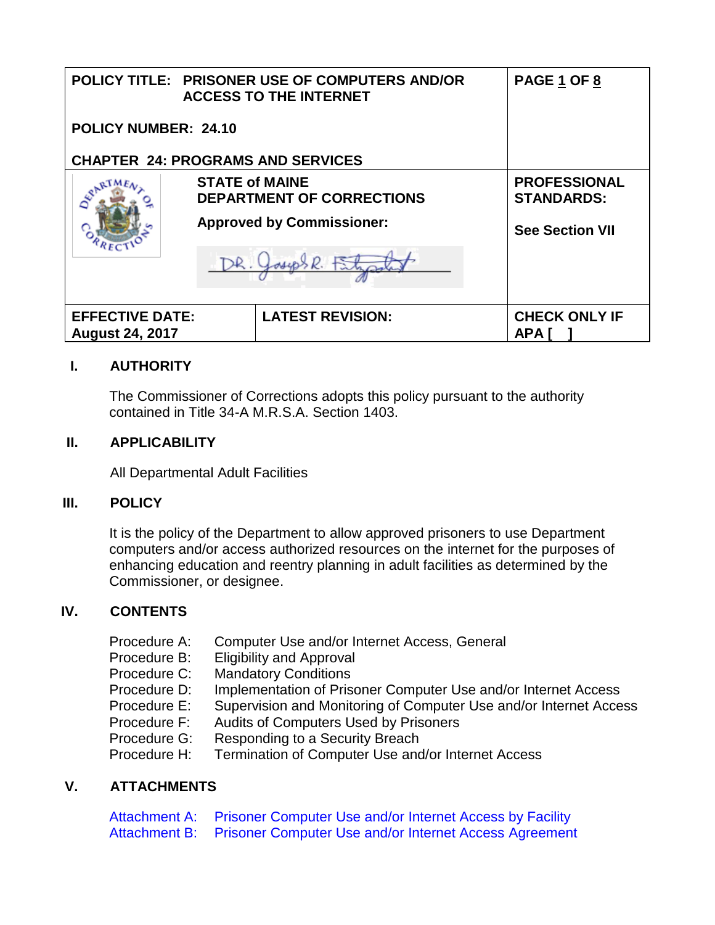|                                                  |  | POLICY TITLE: PRISONER USE OF COMPUTERS AND/OR<br><b>ACCESS TO THE INTERNET</b> | PAGE 1 OF 8                              |
|--------------------------------------------------|--|---------------------------------------------------------------------------------|------------------------------------------|
| POLICY NUMBER: 24.10                             |  |                                                                                 |                                          |
|                                                  |  | <b>CHAPTER 24: PROGRAMS AND SERVICES</b>                                        |                                          |
|                                                  |  | <b>STATE of MAINE</b><br><b>DEPARTMENT OF CORRECTIONS</b>                       | <b>PROFESSIONAL</b><br><b>STANDARDS:</b> |
|                                                  |  | <b>Approved by Commissioner:</b>                                                | <b>See Section VII</b>                   |
|                                                  |  | B, E                                                                            |                                          |
| <b>EFFECTIVE DATE:</b><br><b>August 24, 2017</b> |  | <b>LATEST REVISION:</b>                                                         | <b>CHECK ONLY IF</b><br><b>APA</b>       |

# **I. AUTHORITY**

The Commissioner of Corrections adopts this policy pursuant to the authority contained in Title 34-A M.R.S.A. Section 1403.

### **II. APPLICABILITY**

All Departmental Adult Facilities

# **III. POLICY**

It is the policy of the Department to allow approved prisoners to use Department computers and/or access authorized resources on the internet for the purposes of enhancing education and reentry planning in adult facilities as determined by the Commissioner, or designee.

# **IV. CONTENTS**

| Procedure A: | Computer Use and/or Internet Access, General                      |
|--------------|-------------------------------------------------------------------|
| Procedure B: | <b>Eligibility and Approval</b>                                   |
| Procedure C: | <b>Mandatory Conditions</b>                                       |
| Procedure D: | Implementation of Prisoner Computer Use and/or Internet Access    |
| Procedure E: | Supervision and Monitoring of Computer Use and/or Internet Access |
| Procedure F: | <b>Audits of Computers Used by Prisoners</b>                      |
| Procedure G: | Responding to a Security Breach                                   |
| Procedure H: | Termination of Computer Use and/or Internet Access                |
|              |                                                                   |

# **V. ATTACHMENTS**

Attachment A: Prisoner Computer Use and/or Internet Access by Facility<br>Attachment B: Prisoner Computer Use and/or Internet Access Agreement Prisoner Computer Use and/or Internet Access Agreement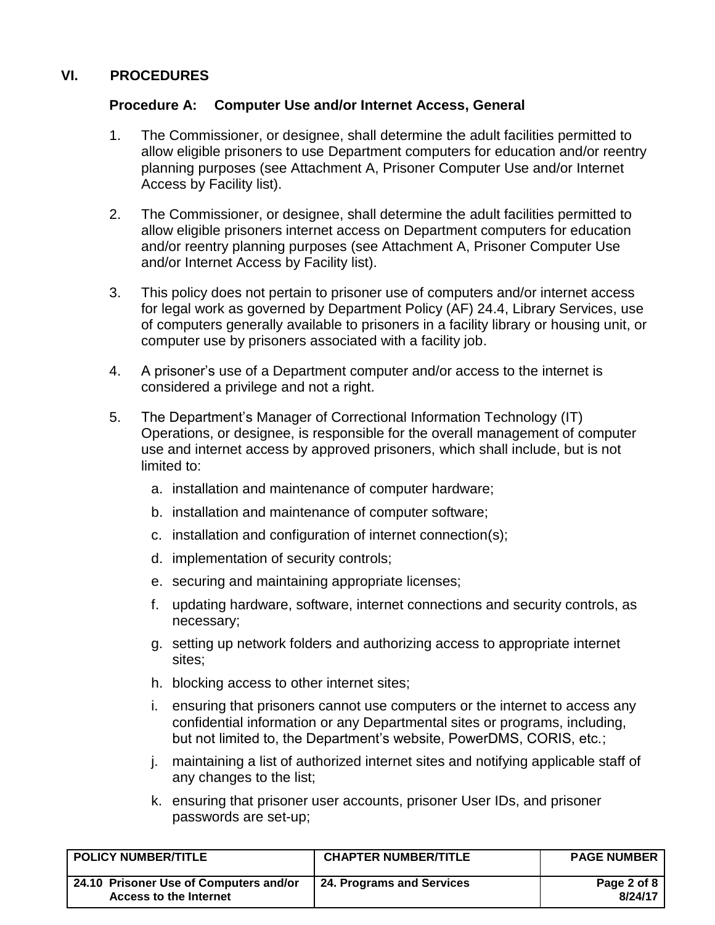### <span id="page-1-0"></span>**VI. PROCEDURES**

#### **Procedure A: Computer Use and/or Internet Access, General**

- 1. The Commissioner, or designee, shall determine the adult facilities permitted to allow eligible prisoners to use Department computers for education and/or reentry planning purposes (see Attachment A, Prisoner Computer Use and/or Internet Access by Facility list).
- 2. The Commissioner, or designee, shall determine the adult facilities permitted to allow eligible prisoners internet access on Department computers for education and/or reentry planning purposes (see Attachment A, Prisoner Computer Use and/or Internet Access by Facility list).
- 3. This policy does not pertain to prisoner use of computers and/or internet access for legal work as governed by Department Policy (AF) 24.4, Library Services, use of computers generally available to prisoners in a facility library or housing unit, or computer use by prisoners associated with a facility job.
- 4. A prisoner's use of a Department computer and/or access to the internet is considered a privilege and not a right.
- 5. The Department's Manager of Correctional Information Technology (IT) Operations, or designee, is responsible for the overall management of computer use and internet access by approved prisoners, which shall include, but is not limited to:
	- a. installation and maintenance of computer hardware;
	- b. installation and maintenance of computer software;
	- c. installation and configuration of internet connection(s);
	- d. implementation of security controls;
	- e. securing and maintaining appropriate licenses;
	- f. updating hardware, software, internet connections and security controls, as necessary;
	- g. setting up network folders and authorizing access to appropriate internet sites;
	- h. blocking access to other internet sites;
	- i. ensuring that prisoners cannot use computers or the internet to access any confidential information or any Departmental sites or programs, including, but not limited to, the Department's website, PowerDMS, CORIS, etc.;
	- j. maintaining a list of authorized internet sites and notifying applicable staff of any changes to the list;
	- k. ensuring that prisoner user accounts, prisoner User IDs, and prisoner passwords are set-up;

| <b>POLICY NUMBER/TITLE</b>                                       | <b>CHAPTER NUMBER/TITLE</b> | <b>PAGE NUMBER</b>     |
|------------------------------------------------------------------|-----------------------------|------------------------|
| 24.10 Prisoner Use of Computers and/or<br>Access to the Internet | 24. Programs and Services   | Page 2 of 8<br>8/24/17 |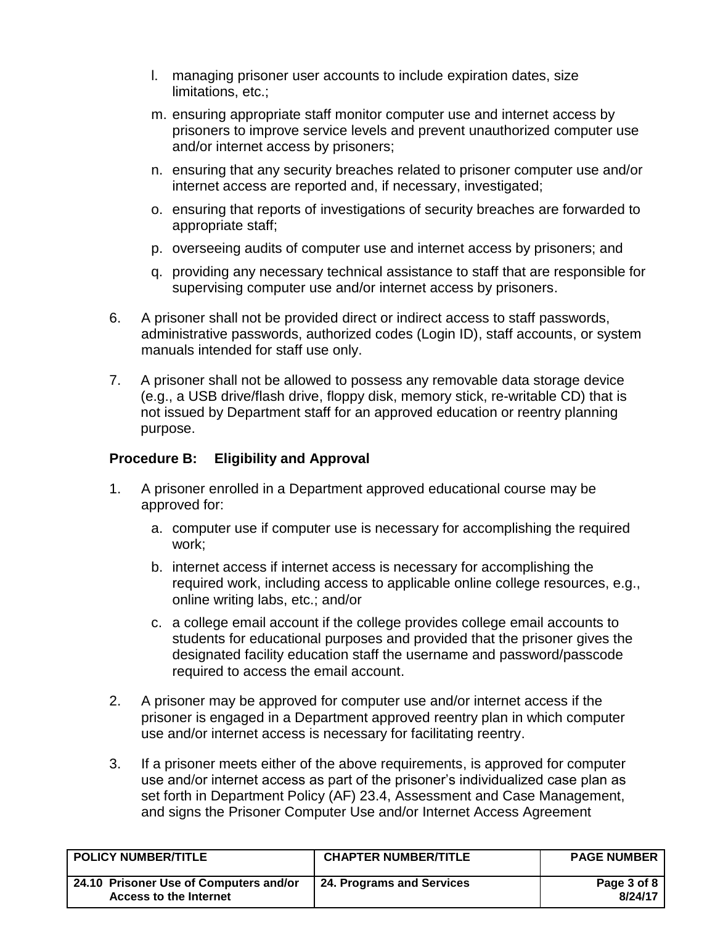- l. managing prisoner user accounts to include expiration dates, size limitations, etc.;
- m. ensuring appropriate staff monitor computer use and internet access by prisoners to improve service levels and prevent unauthorized computer use and/or internet access by prisoners;
- n. ensuring that any security breaches related to prisoner computer use and/or internet access are reported and, if necessary, investigated;
- o. ensuring that reports of investigations of security breaches are forwarded to appropriate staff;
- p. overseeing audits of computer use and internet access by prisoners; and
- q. providing any necessary technical assistance to staff that are responsible for supervising computer use and/or internet access by prisoners.
- 6. A prisoner shall not be provided direct or indirect access to staff passwords, administrative passwords, authorized codes (Login ID), staff accounts, or system manuals intended for staff use only.
- 7. A prisoner shall not be allowed to possess any removable data storage device (e.g., a USB drive/flash drive, floppy disk, memory stick, re-writable CD) that is not issued by Department staff for an approved education or reentry planning purpose.

# <span id="page-2-0"></span>**Procedure B: Eligibility and Approval**

- 1. A prisoner enrolled in a Department approved educational course may be approved for:
	- a. computer use if computer use is necessary for accomplishing the required work;
	- b. internet access if internet access is necessary for accomplishing the required work, including access to applicable online college resources, e.g., online writing labs, etc.; and/or
	- c. a college email account if the college provides college email accounts to students for educational purposes and provided that the prisoner gives the designated facility education staff the username and password/passcode required to access the email account.
- 2. A prisoner may be approved for computer use and/or internet access if the prisoner is engaged in a Department approved reentry plan in which computer use and/or internet access is necessary for facilitating reentry.
- 3. If a prisoner meets either of the above requirements, is approved for computer use and/or internet access as part of the prisoner's individualized case plan as set forth in Department Policy (AF) 23.4, Assessment and Case Management, and signs the Prisoner Computer Use and/or Internet Access Agreement

| <b>POLICY NUMBER/TITLE</b>                                       | <b>CHAPTER NUMBER/TITLE</b> | <b>PAGE NUMBER</b>     |
|------------------------------------------------------------------|-----------------------------|------------------------|
| 24.10 Prisoner Use of Computers and/or<br>Access to the Internet | 24. Programs and Services   | Page 3 of 8<br>8/24/17 |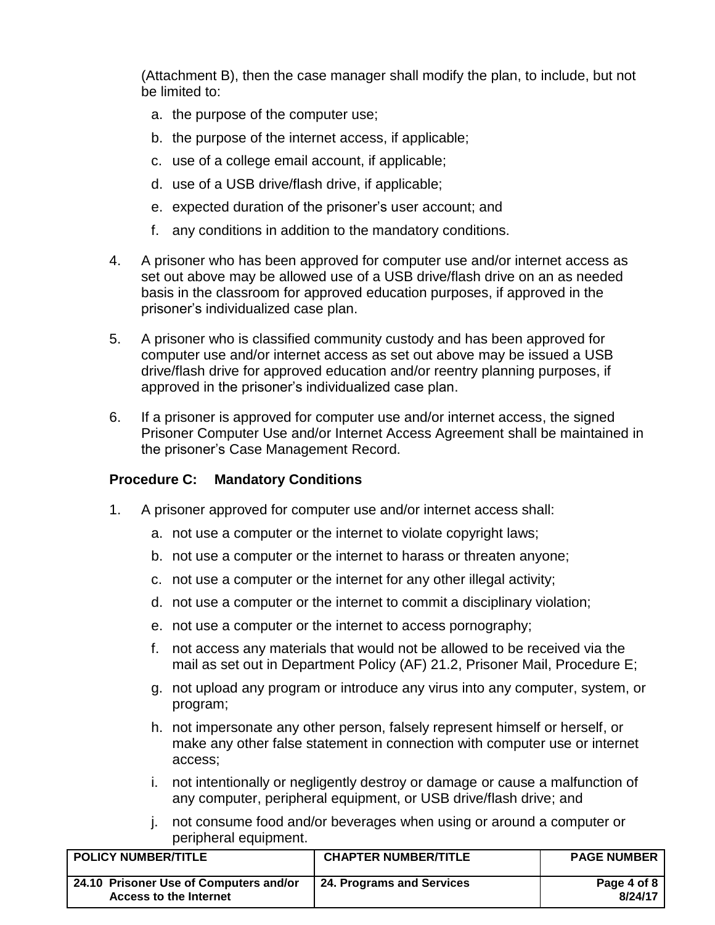(Attachment B), then the case manager shall modify the plan, to include, but not be limited to:

- a. the purpose of the computer use;
- b. the purpose of the internet access, if applicable;
- c. use of a college email account, if applicable;
- d. use of a USB drive/flash drive, if applicable;
- e. expected duration of the prisoner's user account; and
- f. any conditions in addition to the mandatory conditions.
- 4. A prisoner who has been approved for computer use and/or internet access as set out above may be allowed use of a USB drive/flash drive on an as needed basis in the classroom for approved education purposes, if approved in the prisoner's individualized case plan.
- 5. A prisoner who is classified community custody and has been approved for computer use and/or internet access as set out above may be issued a USB drive/flash drive for approved education and/or reentry planning purposes, if approved in the prisoner's individualized case plan.
- 6. If a prisoner is approved for computer use and/or internet access, the signed Prisoner Computer Use and/or Internet Access Agreement shall be maintained in the prisoner's Case Management Record.

#### <span id="page-3-0"></span>**Procedure C: Mandatory Conditions**

- 1. A prisoner approved for computer use and/or internet access shall:
	- a. not use a computer or the internet to violate copyright laws;
	- b. not use a computer or the internet to harass or threaten anyone;
	- c. not use a computer or the internet for any other illegal activity;
	- d. not use a computer or the internet to commit a disciplinary violation;
	- e. not use a computer or the internet to access pornography;
	- f. not access any materials that would not be allowed to be received via the mail as set out in Department Policy (AF) 21.2, Prisoner Mail, Procedure E;
	- g. not upload any program or introduce any virus into any computer, system, or program;
	- h. not impersonate any other person, falsely represent himself or herself, or make any other false statement in connection with computer use or internet access;
	- i. not intentionally or negligently destroy or damage or cause a malfunction of any computer, peripheral equipment, or USB drive/flash drive; and
	- j. not consume food and/or beverages when using or around a computer or peripheral equipment.

| <b>POLICY NUMBER/TITLE</b>                                       | <b>CHAPTER NUMBER/TITLE</b> | <b>PAGE NUMBER</b>     |
|------------------------------------------------------------------|-----------------------------|------------------------|
| 24.10 Prisoner Use of Computers and/or<br>Access to the Internet | 24. Programs and Services   | Page 4 of 8<br>8/24/17 |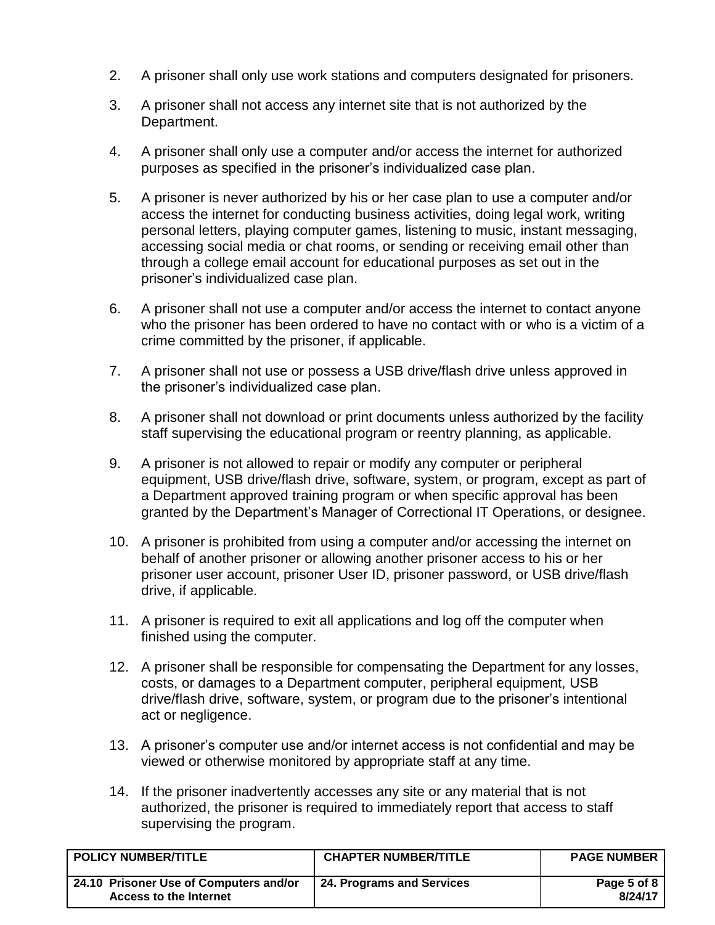- 2. A prisoner shall only use work stations and computers designated for prisoners.
- 3. A prisoner shall not access any internet site that is not authorized by the Department.
- 4. A prisoner shall only use a computer and/or access the internet for authorized purposes as specified in the prisoner's individualized case plan.
- 5. A prisoner is never authorized by his or her case plan to use a computer and/or access the internet for conducting business activities, doing legal work, writing personal letters, playing computer games, listening to music, instant messaging, accessing social media or chat rooms, or sending or receiving email other than through a college email account for educational purposes as set out in the prisoner's individualized case plan.
- 6. A prisoner shall not use a computer and/or access the internet to contact anyone who the prisoner has been ordered to have no contact with or who is a victim of a crime committed by the prisoner, if applicable.
- 7. A prisoner shall not use or possess a USB drive/flash drive unless approved in the prisoner's individualized case plan.
- 8. A prisoner shall not download or print documents unless authorized by the facility staff supervising the educational program or reentry planning, as applicable.
- 9. A prisoner is not allowed to repair or modify any computer or peripheral equipment, USB drive/flash drive, software, system, or program, except as part of a Department approved training program or when specific approval has been granted by the Department's Manager of Correctional IT Operations, or designee.
- 10. A prisoner is prohibited from using a computer and/or accessing the internet on behalf of another prisoner or allowing another prisoner access to his or her prisoner user account, prisoner User ID, prisoner password, or USB drive/flash drive, if applicable.
- 11. A prisoner is required to exit all applications and log off the computer when finished using the computer.
- 12. A prisoner shall be responsible for compensating the Department for any losses, costs, or damages to a Department computer, peripheral equipment, USB drive/flash drive, software, system, or program due to the prisoner's intentional act or negligence.
- 13. A prisoner's computer use and/or internet access is not confidential and may be viewed or otherwise monitored by appropriate staff at any time.
- 14. If the prisoner inadvertently accesses any site or any material that is not authorized, the prisoner is required to immediately report that access to staff supervising the program.

| <b>POLICY NUMBER/TITLE</b>                                       | <b>CHAPTER NUMBER/TITLE</b> | <b>PAGE NUMBER</b>     |
|------------------------------------------------------------------|-----------------------------|------------------------|
| 24.10 Prisoner Use of Computers and/or<br>Access to the Internet | 24. Programs and Services   | Page 5 of 8<br>8/24/17 |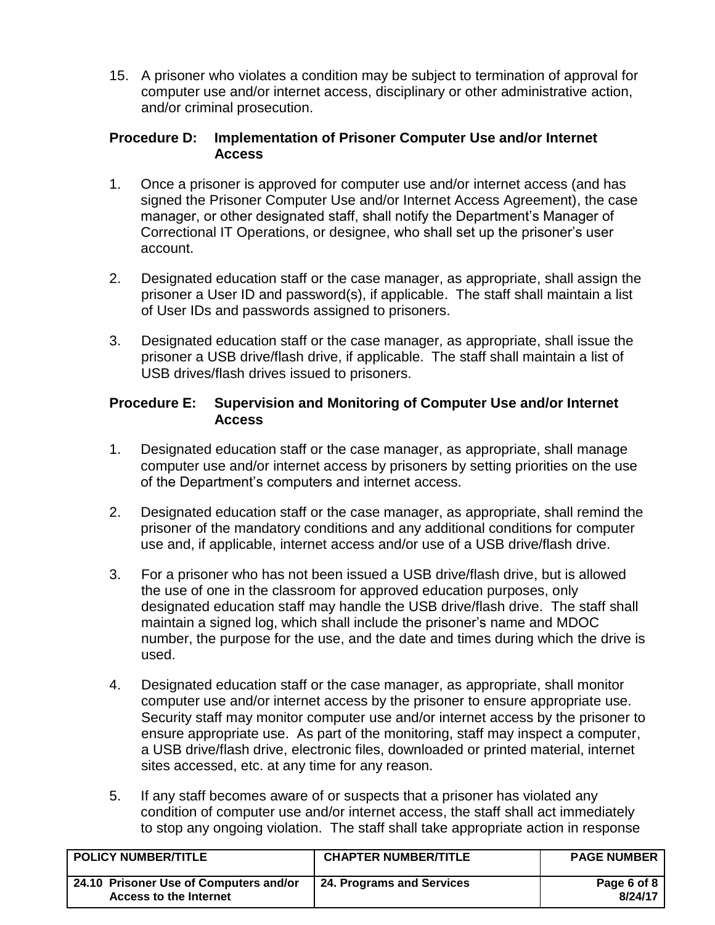15. A prisoner who violates a condition may be subject to termination of approval for computer use and/or internet access, disciplinary or other administrative action, and/or criminal prosecution.

#### <span id="page-5-0"></span>**Procedure D: Implementation of Prisoner Computer Use and/or Internet Access**

- 1. Once a prisoner is approved for computer use and/or internet access (and has signed the Prisoner Computer Use and/or Internet Access Agreement), the case manager, or other designated staff, shall notify the Department's Manager of Correctional IT Operations, or designee, who shall set up the prisoner's user account.
- 2. Designated education staff or the case manager, as appropriate, shall assign the prisoner a User ID and password(s), if applicable. The staff shall maintain a list of User IDs and passwords assigned to prisoners.
- 3. Designated education staff or the case manager, as appropriate, shall issue the prisoner a USB drive/flash drive, if applicable. The staff shall maintain a list of USB drives/flash drives issued to prisoners.

### <span id="page-5-1"></span>**Procedure E: Supervision and Monitoring of Computer Use and/or Internet Access**

- 1. Designated education staff or the case manager, as appropriate, shall manage computer use and/or internet access by prisoners by setting priorities on the use of the Department's computers and internet access.
- 2. Designated education staff or the case manager, as appropriate, shall remind the prisoner of the mandatory conditions and any additional conditions for computer use and, if applicable, internet access and/or use of a USB drive/flash drive.
- 3. For a prisoner who has not been issued a USB drive/flash drive, but is allowed the use of one in the classroom for approved education purposes, only designated education staff may handle the USB drive/flash drive. The staff shall maintain a signed log, which shall include the prisoner's name and MDOC number, the purpose for the use, and the date and times during which the drive is used.
- 4. Designated education staff or the case manager, as appropriate, shall monitor computer use and/or internet access by the prisoner to ensure appropriate use. Security staff may monitor computer use and/or internet access by the prisoner to ensure appropriate use. As part of the monitoring, staff may inspect a computer, a USB drive/flash drive, electronic files, downloaded or printed material, internet sites accessed, etc. at any time for any reason.
- 5. If any staff becomes aware of or suspects that a prisoner has violated any condition of computer use and/or internet access, the staff shall act immediately to stop any ongoing violation. The staff shall take appropriate action in response

| <b>POLICY NUMBER/TITLE</b>                                              | <b>CHAPTER NUMBER/TITLE</b> | <b>PAGE NUMBER</b>     |
|-------------------------------------------------------------------------|-----------------------------|------------------------|
| 24.10 Prisoner Use of Computers and/or<br><b>Access to the Internet</b> | 24. Programs and Services   | Page 6 of 8<br>8/24/17 |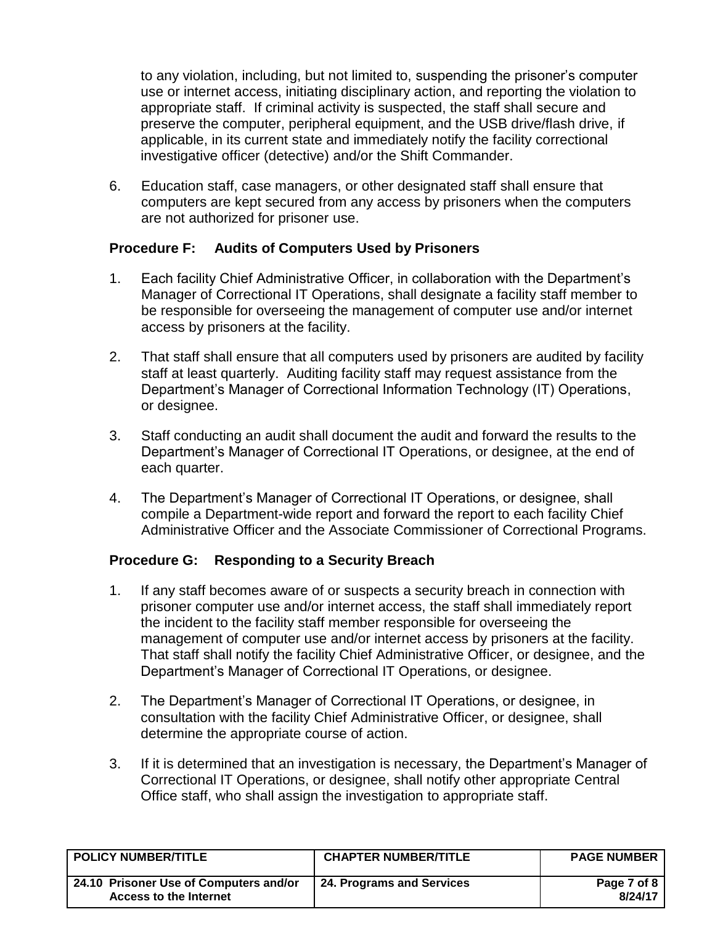to any violation, including, but not limited to, suspending the prisoner's computer use or internet access, initiating disciplinary action, and reporting the violation to appropriate staff. If criminal activity is suspected, the staff shall secure and preserve the computer, peripheral equipment, and the USB drive/flash drive, if applicable, in its current state and immediately notify the facility correctional investigative officer (detective) and/or the Shift Commander.

6. Education staff, case managers, or other designated staff shall ensure that computers are kept secured from any access by prisoners when the computers are not authorized for prisoner use.

### <span id="page-6-0"></span>**Procedure F: Audits of Computers Used by Prisoners**

- 1. Each facility Chief Administrative Officer, in collaboration with the Department's Manager of Correctional IT Operations, shall designate a facility staff member to be responsible for overseeing the management of computer use and/or internet access by prisoners at the facility.
- 2. That staff shall ensure that all computers used by prisoners are audited by facility staff at least quarterly. Auditing facility staff may request assistance from the Department's Manager of Correctional Information Technology (IT) Operations, or designee.
- 3. Staff conducting an audit shall document the audit and forward the results to the Department's Manager of Correctional IT Operations, or designee, at the end of each quarter.
- 4. The Department's Manager of Correctional IT Operations, or designee, shall compile a Department-wide report and forward the report to each facility Chief Administrative Officer and the Associate Commissioner of Correctional Programs.

# <span id="page-6-1"></span>**Procedure G: Responding to a Security Breach**

- 1. If any staff becomes aware of or suspects a security breach in connection with prisoner computer use and/or internet access, the staff shall immediately report the incident to the facility staff member responsible for overseeing the management of computer use and/or internet access by prisoners at the facility. That staff shall notify the facility Chief Administrative Officer, or designee, and the Department's Manager of Correctional IT Operations, or designee.
- 2. The Department's Manager of Correctional IT Operations, or designee, in consultation with the facility Chief Administrative Officer, or designee, shall determine the appropriate course of action.
- 3. If it is determined that an investigation is necessary, the Department's Manager of Correctional IT Operations, or designee, shall notify other appropriate Central Office staff, who shall assign the investigation to appropriate staff.

| <b>POLICY NUMBER/TITLE</b>                                       | <b>CHAPTER NUMBER/TITLE</b> | <b>PAGE NUMBER</b>     |
|------------------------------------------------------------------|-----------------------------|------------------------|
| 24.10 Prisoner Use of Computers and/or<br>Access to the Internet | 24. Programs and Services   | Page 7 of 8<br>8/24/17 |